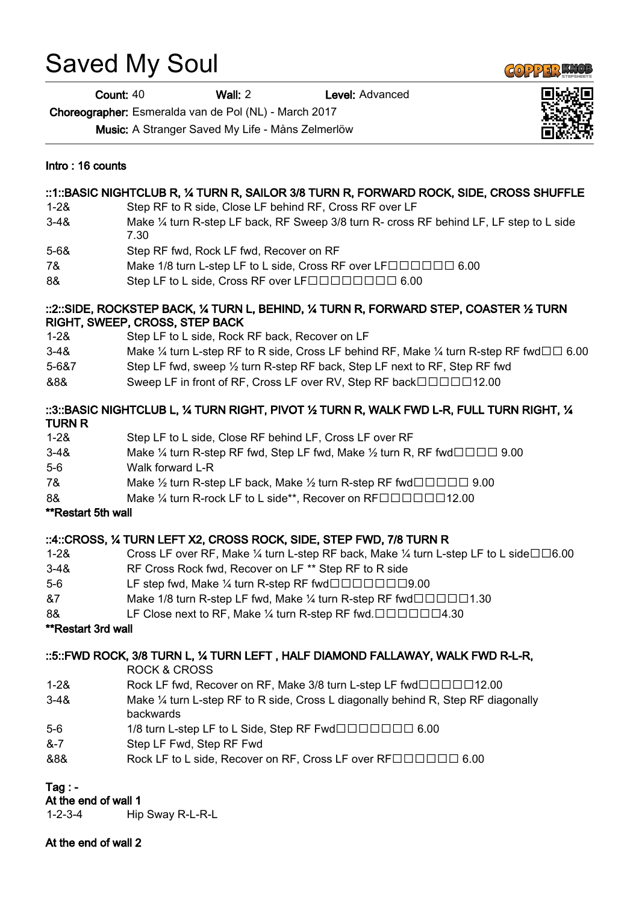# Saved My Soul

Count: 40 Wall: 2 Level: Advanced

Choreographer: Esmeralda van de Pol (NL) - March 2017

Music: A Stranger Saved My Life - Måns Zelmerlöw

#### Intro : 16 counts

## ::1::BASIC NIGHTCLUB R, ¼ TURN R, SAILOR 3/8 TURN R, FORWARD ROCK, SIDE, CROSS SHUFFLE

- 1-2& Step RF to R side, Close LF behind RF, Cross RF over LF
- 3-4& Make ¼ turn R-step LF back, RF Sweep 3/8 turn R- cross RF behind LF, LF step to L side 7.30
- 5-6& Step RF fwd, Rock LF fwd, Recover on RF
- 7& Make 1/8 turn L-step LF to L side, Cross RF over LF
- 8& Step LF to L side, Cross RF over LF 6.00

# ::2::SIDE, ROCKSTEP BACK, ¼ TURN L, BEHIND, ¼ TURN R, FORWARD STEP, COASTER ½ TURN RIGHT, SWEEP, CROSS, STEP BACK

- 1-2& Step LF to L side, Rock RF back, Recover on LF
- 3-4& Make ¼ turn L-step RF to R side, Cross LF behind RF, Make ¼ turn R-step RF fwd $\square \Box$  6.00
- 5-6&7 Step LF fwd, sweep ½ turn R-step RF back, Step LF next to RF, Step RF fwd
- &8& Sweep LF in front of RF, Cross LF over RV, Step RF back $\square \square \square \square \square$ 12.00

## ::3::BASIC NIGHTCLUB L, ¼ TURN RIGHT, PIVOT ½ TURN R, WALK FWD L-R, FULL TURN RIGHT, ¼ TURN R

| Step LF to L side, Close RF behind LF, Cross LF over RF                                                        |
|----------------------------------------------------------------------------------------------------------------|
| Make $\frac{1}{4}$ turn R-step RF fwd, Step LF fwd, Make $\frac{1}{2}$ turn R, RF fwd $\Box$ $\Box$ 9.00       |
| Walk forward L-R                                                                                               |
| Make $\frac{1}{2}$ turn R-step LF back, Make $\frac{1}{2}$ turn R-step RF fwd $\Box$ $\Box$ $\Box$ 9.00        |
| Make $\frac{1}{4}$ turn R-rock LF to L side**, Recover on RF $\square \square \square \square \square \square$ |
|                                                                                                                |

# \*\*Restart 5th wall

# ::4::CROSS, ¼ TURN LEFT X2, CROSS ROCK, SIDE, STEP FWD, 7/8 TURN R

- 1-2& Cross LF over RF, Make  $\frac{1}{4}$  turn L-step RF back, Make  $\frac{1}{4}$  turn L-step LF to L side  $\Box$   $\Box$  6.00
- 3-4& RF Cross Rock fwd, Recover on LF \*\* Step RF to R side
- 5-6 **LF** step fwd, Make  $\frac{1}{4}$  turn R-step RF fwd $\Box$  $\Box$  $\Box$  $\Box$  $\Box$ 9.00
- $87$  Make 1/8 turn R-step LF fwd, Make  $\frac{1}{4}$  turn R-step RF fwd $\square \square \square \square \square$
- 8& LF Close next to RF, Make  $\frac{1}{4}$  turn R-step RF fwd.  $\Box$   $\Box$   $\Box$   $\Box$   $\Box$   $\Box$  4.30

#### \*\*Restart 3rd wall

# ::5::FWD ROCK, 3/8 TURN L, ¼ TURN LEFT , HALF DIAMOND FALLAWAY, WALK FWD R-L-R,

ROCK & CROSS

- 1-2& Rock LF fwd, Recover on RF, Make 3/8 turn L-step LF fwd $\Box$  $\Box$  $\Box$  $\Box$ 12.00
- 3-4& Make ¼ turn L-step RF to R side, Cross L diagonally behind R, Step RF diagonally backwards
- 5-6 1/8 turn L-step LF to L Side, Step RF Fwd 6.00
- &-7 Step LF Fwd, Step RF Fwd
- &8& Rock LF to L side, Recover on RF, Cross LF over RFOODOO 6.00

# Tag  $:$  -

# At the end of wall 1

1-2-3-4 Hip Sway R-L-R-L

At the end of wall 2